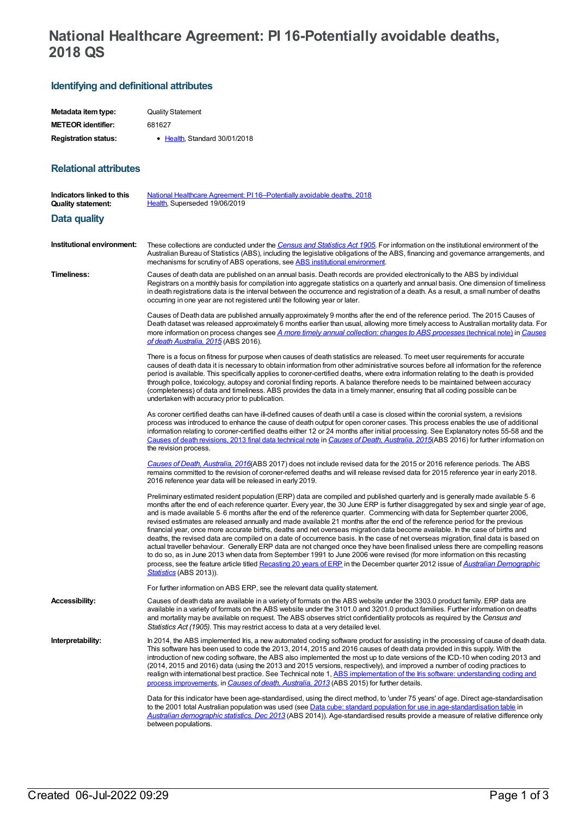## **National Healthcare Agreement: PI 16-Potentially avoidable deaths, 2018 QS**

## **Identifying and definitional attributes**

**Relational attributes**

| Metadata item type:         | <b>Quality Statement</b>      |
|-----------------------------|-------------------------------|
| <b>METEOR identifier:</b>   | 681627                        |
| <b>Registration status:</b> | • Health, Standard 30/01/2018 |

| Indicators linked to this<br><b>Quality statement:</b> | <u>National Healthcare Agreement: PI 16-Potentially avoidable deaths, 2018</u><br>Health, Superseded 19/06/2019                                                                                                                                                                                                                                                                                                                                                                                                                                                                                                                                                                                                                                                                                                                                                                                                                                                                                                                                                                                                                                                                                                                       |
|--------------------------------------------------------|---------------------------------------------------------------------------------------------------------------------------------------------------------------------------------------------------------------------------------------------------------------------------------------------------------------------------------------------------------------------------------------------------------------------------------------------------------------------------------------------------------------------------------------------------------------------------------------------------------------------------------------------------------------------------------------------------------------------------------------------------------------------------------------------------------------------------------------------------------------------------------------------------------------------------------------------------------------------------------------------------------------------------------------------------------------------------------------------------------------------------------------------------------------------------------------------------------------------------------------|
| Data quality                                           |                                                                                                                                                                                                                                                                                                                                                                                                                                                                                                                                                                                                                                                                                                                                                                                                                                                                                                                                                                                                                                                                                                                                                                                                                                       |
| Institutional environment:                             | These collections are conducted under the Census and Statistics Act 1905. For information on the institutional environment of the<br>Australian Bureau of Statistics (ABS), including the legislative obligations of the ABS, financing and governance arrangements, and<br>mechanisms for scrutiny of ABS operations, see ABS institutional environment.                                                                                                                                                                                                                                                                                                                                                                                                                                                                                                                                                                                                                                                                                                                                                                                                                                                                             |
| Timeliness:                                            | Causes of death data are published on an annual basis. Death records are provided electronically to the ABS by individual<br>Registrars on a monthly basis for compilation into aggregate statistics on a quarterly and annual basis. One dimension of timeliness<br>in death registrations data is the interval between the occurrence and registration of a death. As a result, a small number of deaths<br>occurring in one year are not registered until the following year or later.                                                                                                                                                                                                                                                                                                                                                                                                                                                                                                                                                                                                                                                                                                                                             |
|                                                        | Causes of Death data are published annually approximately 9 months after the end of the reference period. The 2015 Causes of<br>Death dataset was released approximately 6 months earlier than usual, allowing more timely access to Australian mortality data. For<br>more information on process changes see A more timely annual collection: changes to ABS processes (technical note) in Causes<br>of death Australia, 2015 (ABS 2016).                                                                                                                                                                                                                                                                                                                                                                                                                                                                                                                                                                                                                                                                                                                                                                                           |
|                                                        | There is a focus on fitness for purpose when causes of death statistics are released. To meet user requirements for accurate<br>causes of death data it is necessary to obtain information from other administrative sources before all information for the reference<br>period is available. This specifically applies to coroner-certified deaths, where extra information relating to the death is provided<br>through police, toxicology, autopsy and coronial finding reports. A balance therefore needs to be maintained between accuracy<br>(completeness) of data and timeliness. ABS provides the data in a timely manner, ensuring that all coding possible can be<br>undertaken with accuracy prior to publication.                                                                                                                                                                                                                                                                                                                                                                                                                                                                                                        |
|                                                        | As coroner certified deaths can have ill-defined causes of death until a case is closed within the coronial system, a revisions<br>process was introduced to enhance the cause of death output for open coroner cases. This process enables the use of additional<br>information relating to coroner-certified deaths either 12 or 24 months after initial processing. See Explanatory notes 55-58 and the<br>Causes of death revisions, 2013 final data technical note in Causes of Death, Australia, 2015(ABS 2016) for further information on<br>the revision process.                                                                                                                                                                                                                                                                                                                                                                                                                                                                                                                                                                                                                                                             |
|                                                        | Causes of Death, Australia, 2016(ABS 2017) does not include revised data for the 2015 or 2016 reference periods. The ABS<br>remains committed to the revision of coroner-referred deaths and will release revised data for 2015 reference year in early 2018.<br>2016 reference year data will be released in early 2019.                                                                                                                                                                                                                                                                                                                                                                                                                                                                                                                                                                                                                                                                                                                                                                                                                                                                                                             |
|                                                        | Preliminary estimated resident population (ERP) data are compiled and published quarterly and is generally made available 5–6<br>months after the end of each reference quarter. Every year, the 30 June ERP is further disaggregated by sex and single year of age,<br>and is made available 5–6 months after the end of the reference quarter. Commencing with data for September quarter 2006,<br>revised estimates are released annually and made available 21 months after the end of the reference period for the previous<br>financial year, once more accurate births, deaths and net overseas migration data become available. In the case of births and<br>deaths, the revised data are compiled on a date of occurrence basis. In the case of net overseas migration, final data is based on<br>actual traveller behaviour. Generally ERP data are not changed once they have been finalised unless there are compelling reasons<br>to do so, as in June 2013 when data from September 1991 to June 2006 were revised (for more information on this recasting<br>process, see the feature article titled Recasting 20 years of ERP in the December quarter 2012 issue of Australian Demographic<br>Statistics (ABS 2013)). |
|                                                        | For further information on ABS ERP, see the relevant data quality statement.                                                                                                                                                                                                                                                                                                                                                                                                                                                                                                                                                                                                                                                                                                                                                                                                                                                                                                                                                                                                                                                                                                                                                          |
| <b>Accessibility:</b>                                  | Causes of death data are available in a variety of formats on the ABS website under the 3303.0 product family. ERP data are<br>available in a variety of formats on the ABS website under the 3101.0 and 3201.0 product families. Further information on deaths<br>and mortality may be available on request. The ABS observes strict confidentiality protocols as required by the Census and<br>Statistics Act (1905). This may restrict access to data at a very detailed level.                                                                                                                                                                                                                                                                                                                                                                                                                                                                                                                                                                                                                                                                                                                                                    |
| Interpretability:                                      | In 2014, the ABS implemented Iris, a new automated coding software product for assisting in the processing of cause of death data.<br>This software has been used to code the 2013, 2014, 2015 and 2016 causes of death data provided in this supply. With the<br>introduction of new coding software, the ABS also implemented the most up to date versions of the ICD-10 when coding 2013 and<br>(2014, 2015 and 2016) data (using the 2013 and 2015 versions, respectively), and improved a number of coding practices to<br>realign with international best practice. See Technical note 1, ABS implementation of the Iris software: understanding coding and<br>process improvements, in Causes of death, Australia, 2013 (ABS 2015) for further details.                                                                                                                                                                                                                                                                                                                                                                                                                                                                        |
|                                                        | Data for this indicator have been age-standardised, using the direct method, to 'under 75 years' of age. Direct age-standardisation<br>to the 2001 total Australian population was used (see Data cube: standard population for use in age-standardisation table in<br>Australian demographic statistics, Dec 2013 (ABS 2014)). Age-standardised results provide a measure of relative difference only<br>between populations.                                                                                                                                                                                                                                                                                                                                                                                                                                                                                                                                                                                                                                                                                                                                                                                                        |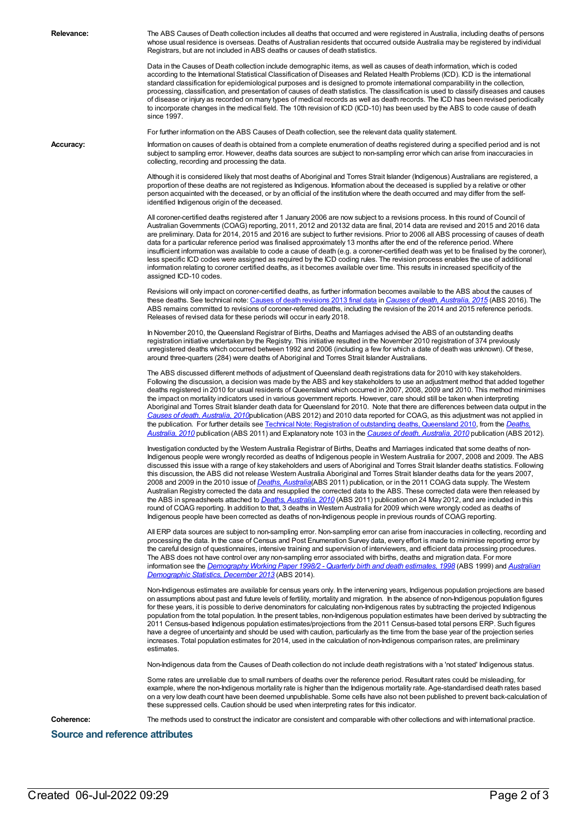**Relevance:** The ABS Causes of Death collection includes all deaths that occurred and were registered in Australia, including deaths of persons whose usual residence is overseas. Deaths of Australian residents that occurred outside Australia may be registered by individual Registrars, but are not included in ABS deaths or causes of death statistics.

> Data in the Causes of Death collection include demographic items, as well as causes of death information, which is coded according to the International Statistical Classification of Diseases and Related Health Problems (ICD). ICD is the international standard classification for epidemiological purposes and is designed to promote international comparability in the collection, processing, classification, and presentation of causes of death statistics. The classification is used to classify diseases and causes of disease or injury as recorded on many types of medical records as well as death records. The ICD has been revised periodically to incorporate changes in the medical field. The 10th revision of ICD (ICD-10) has been used by the ABS to code cause of death since 1997.

For further information on the ABS Causes of Death collection, see the relevant data quality statement.

Accuracy: Information on causes of death is obtained from a complete enumeration of deaths registered during a specified period and is not subject to sampling error. However, deaths data sources are subject to non-sampling error which can arise from inaccuracies in collecting, recording and processing the data.

> Although it is considered likely that most deaths of Aboriginal and Torres Strait Islander (Indigenous) Australians are registered, a proportion of these deaths are not registered as Indigenous. Information about the deceased is supplied by a relative or other person acquainted with the deceased, or by an official of the institution where the death occurred and may differ from the selfidentified Indigenous origin of the deceased.

All coroner-certified deaths registered after 1 January 2006 are now subject to a revisions process. In this round of Council of AustralianGovernments (COAG) reporting, 2011, 2012 and 20132 data are final, 2014 data are revised and 2015 and 2016 data are preliminary. Data for 2014, 2015 and 2016 are subject to further revisions. Prior to 2006 all ABS processing of causes of death data for a particular reference period was finalised approximately 13 months after the end of the reference period. Where insufficient information was available to code a cause of death (e.g. a coroner-certified death was yet to be finalised by the coroner), less specific ICD codes were assigned as required by the ICD coding rules. The revision process enables the use of additional information relating to coroner certified deaths, as it becomes available over time. This results in increased specificity of the assigned ICD-10 codes.

Revisions will only impact on coroner-certified deaths, as further information becomes available to the ABS about the causes of these deaths. See technical note: Causes of death [revisions](http://www.abs.gov.au/AUSSTATS/abs@.nsf/Previousproducts/3303.0Technical%20Note22015?opendocument&tabname=Notes&prodno=3303.0&issue=2015&num=&view=COD.docx) 2013 final data in *Causes of death, [Australia,](http://www.abs.gov.au/ausstats/abs@.nsf/Lookup/by%20Subject/3303.0~2015~Main%20Features~Summary%20of%20findings~1) 2015* (ABS 2016). The ABS remains committed to revisions of coroner-referred deaths, including the revision of the 2014 and 2015 reference periods. Releases of revised data for these periods will occur in early 2018.

In November 2010, the Queensland Registrar of Births, Deaths and Marriages advised the ABS of an outstanding deaths registration initiative undertaken by the Registry. This initiative resulted in the November 2010 registration of 374 previously unregistered deaths which occurred between 1992 and 2006 (including a few for which a date of death was unknown). Of these, around three-quarters (284) were deaths of Aboriginal and Torres Strait Islander Australians.

The ABS discussed different methods of adjustment of Queensland death registrations data for 2010 with key stakeholders. Following the discussion, a decision was made by the ABS and key stakeholders to use an adjustment method that added together deaths registered in 2010 for usual residents of Queensland which occurred in 2007, 2008, 2009 and 2010. This method minimises the impact on mortality indicators used in various government reports. However, care should still be taken when interpreting Aboriginal and Torres Strait Islander death data for Queensland for 2010. Note that there are differences between data output in the *Causes of death, [Australia,](http://www.abs.gov.au/AUSSTATS/abs@.nsf/allprimarymainfeatures/F941C630073EA7A8CA257B2E000D80F0?opendocument) 2010*publication (ABS 2012) and 2010 data reported for COAG, as this adjustment was not applied in the publication. For further details see Technical Note: [Registration](http://www.abs.gov.au/AUSSTATS/abs@.nsf/allprimarymainfeatures/8CE24F3B3F710F8FCA257AAF0013D433?opendocument) of outstanding deaths, Queensland 2010, from the *Deaths, Australia, 2010* publication (ABS 2011) and Explanatory note 103 in the *Causes of death, [Australia,](http://www.abs.gov.au/AUSSTATS/abs@.nsf/allprimarymainfeatures/F941C630073EA7A8CA257B2E000D80F0?opendocument) 2010* publication (ABS 2012).

Investigation conducted by the Western Australia Registrar of Births, Deaths and Marriages indicated that some deaths of non-Indigenous people were wrongly recorded as deaths of Indigenous people in Western Australia for 2007, 2008 and 2009. The ABS discussed this issue with a range of key stakeholders and users of Aboriginal and Torres Strait Islander deaths statistics. Following this discussion, the ABS did not release Western Australia Aboriginal and Torres Strait Islander deaths data for the years 2007, 2008 and 2009 in the 2010 issue of *Deaths, [Australia](http://www.abs.gov.au/AUSSTATS/abs@.nsf/Lookup/3302.0Main+Features12010?OpenDocument)*(ABS 2011) publication, or in the 2011 COAG data supply. The Western Australian Registry corrected the data and resupplied the corrected data to the ABS. These corrected data were then released by the ABS in spreadsheets attached to *Deaths, [Australia,](http://www.abs.gov.au/AUSSTATS/abs@.nsf/Lookup/3302.0Main+Features12010?OpenDocument) 2010* (ABS 2011) publication on 24 May 2012, and are included in this round of COAG reporting. In addition to that, 3 deaths in Western Australia for 2009 which were wrongly coded as deaths of Indigenous people have been corrected as deaths of non-Indigenous people in previous rounds of COAG reporting.

All ERP data sources are subject to non-sampling error. Non-sampling error can arise from inaccuracies in collecting, recording and processing the data. In the case of Census and Post Enumeration Survey data, every effort is made to minimise reporting error by the careful design of questionnaires, intensive training and supervision of interviewers, and efficient data processing procedures. The ABS does not have control over any non-sampling error associated with births, deaths and migration data. For more information see the *[Demography](http://www.abs.gov.au/AUSSTATS/abs@.nsf/allprimarymainfeatures/FA627CA7C5708380CA257D5D0015EB95?opendocument) Working Paper 1998/2 - Quarterly birth and death estimates, 1998* (ABS 1999) and *Australian Demographic Statistics, December 2013* (ABS 2014).

Non-Indigenous estimates are available for census years only. In the intervening years, Indigenous population projections are based on assumptions about past and future levels of fertility, mortality and migration. In the absence of non-Indigenous population figures for these years, it is possible to derive denominators for calculating non-Indigenous rates by subtracting the projected Indigenous population from the total population. In the present tables, non-Indigenous population estimates have been derived by subtracting the 2011 Census-based Indigenous population estimates/projections from the 2011 Census-based total persons ERP. Such figures have a degree of uncertainty and should be used with caution, particularly as the time from the base year of the projection series increases. Total population estimates for 2014, used in the calculation of non-Indigenous comparison rates, are preliminary estimates.

Non-Indigenous data from the Causes of Death collection do not include death registrations with a 'not stated' Indigenous status.

Some rates are unreliable due to small numbers of deaths over the reference period. Resultant rates could be misleading, for example, where the non-Indigenous mortality rate is higher than the Indigenous mortality rate. Age-standardised death rates based on a very low death count have been deemed unpublishable. Some cells have also not been published to prevent back-calculation of these suppressed cells. Caution should be used when interpreting rates for this indicator.

**Coherence:** The methods used to construct the indicator are consistent and comparable with other collections and with international practice.

**Source and reference attributes**